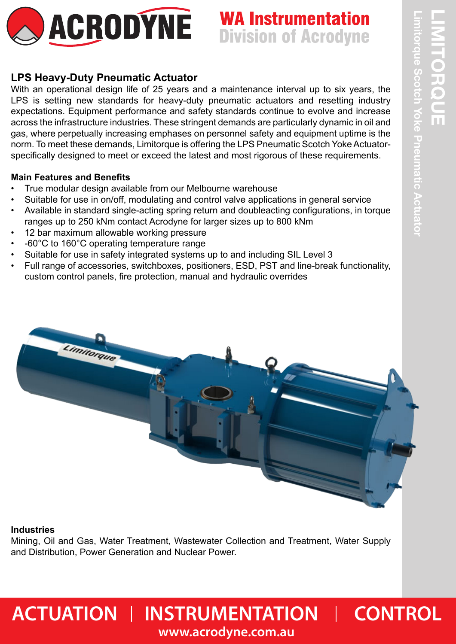

# **WA Instrumentation Division of Acrodyne**

## **LPS Heavy-Duty Pneumatic Actuator**

With an operational design life of 25 years and a maintenance interval up to six years, the LPS is setting new standards for heavy-duty pneumatic actuators and resetting industry expectations. Equipment performance and safety standards continue to evolve and increase across the infrastructure industries. These stringent demands are particularly dynamic in oil and gas, where perpetually increasing emphases on personnel safety and equipment uptime is the norm. To meet these demands, Limitorque is offering the LPS Pneumatic Scotch Yoke Actuatorspecifically designed to meet or exceed the latest and most rigorous of these requirements.

### **Main Features and Benefits**

- True modular design available from our Melbourne warehouse
- Suitable for use in on/off, modulating and control valve applications in general service
- Available in standard single-acting spring return and doubleacting configurations, in torque ranges up to 250 kNm contact Acrodyne for larger sizes up to 800 kNm
- 12 bar maximum allowable working pressure
- -60°C to 160°C operating temperature range
- Suitable for use in safety integrated systems up to and including SIL Level 3
- Full range of accessories, switchboxes, positioners, ESD, PST and line-break functionality, custom control panels, fire protection, manual and hydraulic overrides



### **Industries**

Mining, Oil and Gas, Water Treatment, Wastewater Collection and Treatment, Water Supply and Distribution, Power Generation and Nuclear Power.

## $\blacksquare$  **ACTUATION I** INSTRUMENTATION **I** CONTROL **www.acrodyne.com.au**